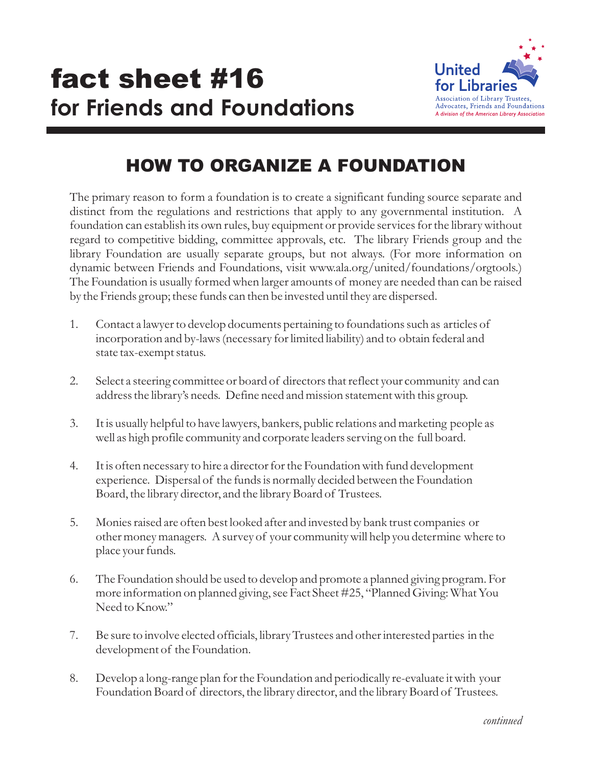

## HOW TO ORGANIZE A FOUNDATION

The primary reason to form a foundation is to create a significant funding source separate and distinct from the regulations and restrictions that apply to any governmental institution. A foundation can establish its own rules, buy equipment or provide services for the library without regard to competitive bidding, committee approvals, etc. The library Friends group and the library Foundation are usually separate groups, but not always. (For more information on dynamic between Friends and Foundations, visit www.ala.org/united/foundations/orgtools.) The Foundation is usually formed when larger amounts of money are needed than can be raised by the Friends group; these funds can then be invested until they are dispersed.

- 1. Contact a lawyer to develop documents pertaining to foundations such as articles of incorporation and by-laws (necessary for limited liability) and to obtain federal and state tax-exempt status.
- 2. Select a steering committee or board of directors that reflect your community and can address the library's needs. Define need and mission statement with this group.
- 3. It is usually helpful to have lawyers, bankers, public relations and marketing people as well as high profile community and corporate leaders serving on the full board.
- 4. It is often necessary to hire a director for the Foundation with fund development experience. Dispersal of the funds is normally decided between the Foundation Board, the library director, and the library Board of Trustees.
- 5. Monies raised are often best looked after and invested by bank trust companies or other money managers. A survey of your community will help you determine where to place your funds.
- 6. The Foundation should be used to develop and promote a planned giving program. For more information on planned giving, see Fact Sheet #25, "Planned Giving: What You Need to Know."
- 7. Be sure to involve elected officials, library Trustees and other interested parties in the development of the Foundation.
- 8. Develop a long-range plan for the Foundation and periodically re-evaluate it with your Foundation Board of directors, the library director, and the library Board of Trustees.